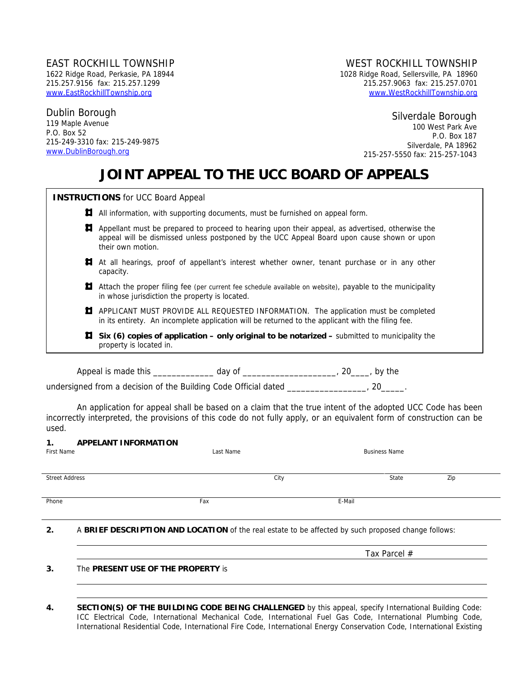# Dublin Borough 119 Maple Avenue

P.O. Box 52 215-249-3310 fax: 215-249-9875 www.DublinBorough.org

## EAST ROCKHILL TOWNSHIP WEST ROCKHILL TOWNSHIP

1622 Ridge Road, Perkasie, PA 18944 1028 Ridge Road, Sellersville, PA 18960 215.257.9156 fax: 215.257.1299 215.257.9063 fax: 215.257.0701 www.EastRockhillTownship.org www.WestRockhillTownship.org

Silverdale Borough

100 West Park Ave P.O. Box 187 Silverdale, PA 18962 215-257-5550 fax: 215-257-1043

Tax Parcel #

# **JOINT APPEAL TO THE UCC BOARD OF APPEALS**

|    | <b>INSTRUCTIONS</b> for UCC Board Appeal                                                                                                                                                                            |
|----|---------------------------------------------------------------------------------------------------------------------------------------------------------------------------------------------------------------------|
| Н. | All information, with supporting documents, must be furnished on appeal form.                                                                                                                                       |
| П. | Appellant must be prepared to proceed to hearing upon their appeal, as advertised, otherwise the<br>appeal will be dismissed unless postponed by the UCC Appeal Board upon cause shown or upon<br>their own motion. |
| П. | At all hearings, proof of appellant's interest whether owner, tenant purchase or in any other<br>capacity.                                                                                                          |
| Д  | Attach the proper filing fee (per current fee schedule available on website), payable to the municipality<br>in whose jurisdiction the property is located.                                                         |
| д  | APPLICANT MUST PROVIDE ALL REQUESTED INFORMATION. The application must be completed<br>in its entirety. An incomplete application will be returned to the applicant with the filing fee.                            |
|    | <b><math>\sharp</math></b> Six (6) copies of application – only original to be notarized – submitted to municipality the<br>property is located in.                                                                 |
|    | Appeal is made this __________<br>, day of <sub>-</sub><br>_, 20____, by the                                                                                                                                        |

undersigned from a decision of the Building Code Official dated \_\_\_\_\_\_\_\_\_\_\_\_\_\_\_\_, 20\_\_\_\_\_\_.

 An application for appeal shall be based on a claim that the true intent of the adopted UCC Code has been incorrectly interpreted, the provisions of this code do not fully apply, or an equivalent form of construction can be used.

| <b>APPELANT INFORMATION</b><br>1.<br>First Name                                                           | Last Name |      | <b>Business Name</b> |     |
|-----------------------------------------------------------------------------------------------------------|-----------|------|----------------------|-----|
| <b>Street Address</b>                                                                                     |           | City | State                | Zip |
| Phone                                                                                                     | Fax       |      | E-Mail               |     |
| A BRIEF DESCRIPTION AND LOCATION of the real estate to be affected by such proposed change follows:<br>2. |           |      |                      |     |

**3.** The **PRESENT USE OF THE PROPERTY** is

**<sup>4.</sup> SECTION(S) OF THE BUILDING CODE BEING CHALLENGED** by this appeal, specify International Building Code: ICC Electrical Code, International Mechanical Code, International Fuel Gas Code, International Plumbing Code, International Residential Code, International Fire Code, International Energy Conservation Code, International Existing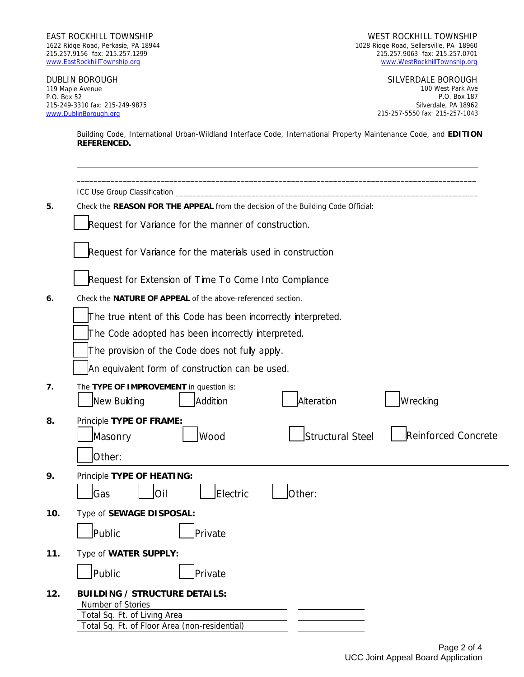EAST ROCKHILL TOWNSHIP WEST ROCKHILL TOWNSHIP

1622 Ridge Road, Perkasie, PA 18944 1028 Ridge Road, Sellersville, PA 18960 215.257.9156 fax: 215.257.1299 215.257.9063 fax: 215.257.0701 www.WestRockhillTownship.org

DUBLIN BOROUGH SILVERDALE BOROUGH 119 Maple Avenue P.O. Box 52 215-249-3310 fax: 215-249-9875 www.DublinBorough.org

100 West Park Ave P.O. Box 187 Silverdale, PA 18962 215-257-5550 fax: 215-257-1043

Building Code, International Urban-Wildland Interface Code, International Property Maintenance Code, and **EDITION REFERENCED.** 

|     | ICC Use Group Classification                                                     |  |
|-----|----------------------------------------------------------------------------------|--|
| 5.  | Check the REASON FOR THE APPEAL from the decision of the Building Code Official: |  |
|     | Request for Variance for the manner of construction.                             |  |
|     | Request for Variance for the materials used in construction                      |  |
|     | Request for Extension of Time To Come Into Compliance                            |  |
| 6.  | Check the NATURE OF APPEAL of the above-referenced section.                      |  |
|     | The true intent of this Code has been incorrectly interpreted.                   |  |
|     | The Code adopted has been incorrectly interpreted.                               |  |
|     | The provision of the Code does not fully apply.                                  |  |
|     | An equivalent form of construction can be used.                                  |  |
| 7.  | The TYPE OF IMPROVEMENT in question is:                                          |  |
|     | Alteration<br>Wrecking<br>Addition<br>New Building                               |  |
| 8.  | Principle TYPE OF FRAME:                                                         |  |
|     | Structural Steel<br><b>Reinforced Concrete</b><br>Wood<br>Masonry                |  |
|     | Other:                                                                           |  |
| 9.  | Principle TYPE OF HEATING:                                                       |  |
|     | Electric<br><b>G</b> as<br>Other:<br>lOil                                        |  |
| 10. | Type of SEWAGE DISPOSAL:                                                         |  |
|     | Public<br><b>Private</b>                                                         |  |
| 11. | Type of WATER SUPPLY:                                                            |  |
|     | Public<br>Private                                                                |  |
| 12. | <b>BUILDING / STRUCTURE DETAILS:</b>                                             |  |
|     | Number of Stories                                                                |  |
|     | Total Sq. Ft. of Living Area<br>Total Sq. Ft. of Floor Area (non-residential)    |  |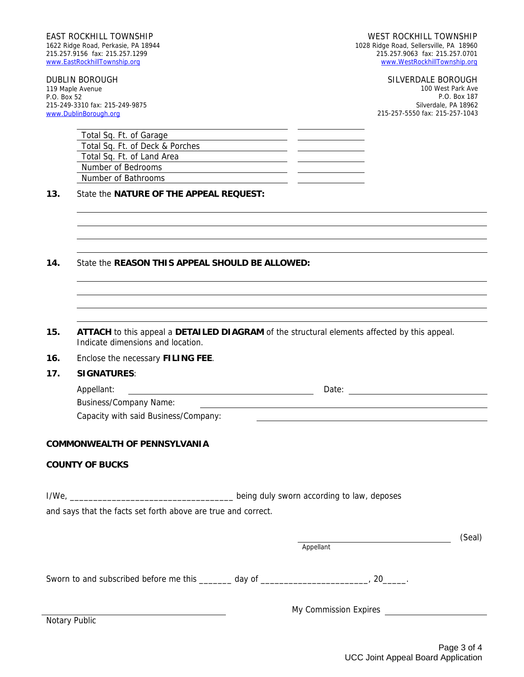215-249-3310 fax: 215-249-9875 www.DublinBorough.org

119 Maple Avenue P.O. Box 52

#### DUBLIN BOROUGH SILVERDALE BOROUGH

100 West Park Ave P.O. Box 187 Silverdale, PA 18962 215-257-5550 fax: 215-257-1043

| Total Sq. Ft. of Garage         |  |
|---------------------------------|--|
| Total Sq. Ft. of Deck & Porches |  |
| Total Sq. Ft. of Land Area      |  |
| Number of Bedrooms              |  |
| Number of Bathrooms             |  |

#### **13.** State the **NATURE OF THE APPEAL REQUEST:**

### **14.** State the **REASON THIS APPEAL SHOULD BE ALLOWED:**

- **15. ATTACH** to this appeal a **DETAILED DIAGRAM** of the structural elements affected by this appeal. Indicate dimensions and location.
- **16.** Enclose the necessary **FILING FEE**.
- **17. SIGNATURES**:

| Appellant:                    |  |  |
|-------------------------------|--|--|
| <b>Business/Company Name:</b> |  |  |

Capacity with said Business/Company:

#### **COMMONWEALTH OF PENNSYLVANIA**

#### **COUNTY OF BUCKS**

I/We, \_\_\_\_\_\_\_\_\_\_\_\_\_\_\_\_\_\_\_\_\_\_\_\_\_\_\_\_\_\_\_\_\_\_\_ being duly sworn according to law, deposes

and says that the facts set forth above are true and correct.

|                                                                | Appellant             | (Seal) |
|----------------------------------------------------------------|-----------------------|--------|
| Sworn to and subscribed before me this ______ day of _________ | 20                    |        |
|                                                                | My Commission Expires |        |